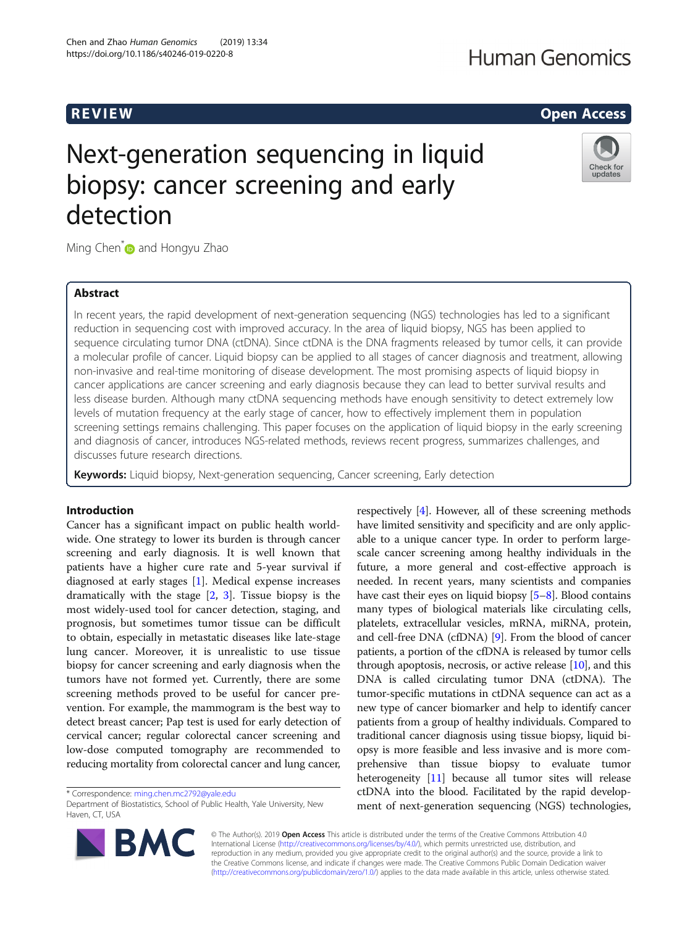# Next-generation sequencing in liquid biopsy: cancer screening and early detection

Ming Chen<sup>[\\*](http://orcid.org/0000-0002-7651-4644)</sup> and Hongyu Zhao

## Abstract

In recent years, the rapid development of next-generation sequencing (NGS) technologies has led to a significant reduction in sequencing cost with improved accuracy. In the area of liquid biopsy, NGS has been applied to sequence circulating tumor DNA (ctDNA). Since ctDNA is the DNA fragments released by tumor cells, it can provide a molecular profile of cancer. Liquid biopsy can be applied to all stages of cancer diagnosis and treatment, allowing non-invasive and real-time monitoring of disease development. The most promising aspects of liquid biopsy in cancer applications are cancer screening and early diagnosis because they can lead to better survival results and less disease burden. Although many ctDNA sequencing methods have enough sensitivity to detect extremely low levels of mutation frequency at the early stage of cancer, how to effectively implement them in population screening settings remains challenging. This paper focuses on the application of liquid biopsy in the early screening and diagnosis of cancer, introduces NGS-related methods, reviews recent progress, summarizes challenges, and discusses future research directions.

Keywords: Liquid biopsy, Next-generation sequencing, Cancer screening, Early detection

### Introduction

Cancer has a significant impact on public health worldwide. One strategy to lower its burden is through cancer screening and early diagnosis. It is well known that patients have a higher cure rate and 5-year survival if diagnosed at early stages [[1\]](#page-6-0). Medical expense increases dramatically with the stage [[2,](#page-6-0) [3](#page-6-0)]. Tissue biopsy is the most widely-used tool for cancer detection, staging, and prognosis, but sometimes tumor tissue can be difficult to obtain, especially in metastatic diseases like late-stage lung cancer. Moreover, it is unrealistic to use tissue biopsy for cancer screening and early diagnosis when the tumors have not formed yet. Currently, there are some screening methods proved to be useful for cancer prevention. For example, the mammogram is the best way to detect breast cancer; Pap test is used for early detection of cervical cancer; regular colorectal cancer screening and low-dose computed tomography are recommended to reducing mortality from colorectal cancer and lung cancer,

\* Correspondence: [ming.chen.mc2792@yale.edu](mailto:ming.chen.mc2792@yale.edu)

**BMC** 

© The Author(s). 2019 Open Access This article is distributed under the terms of the Creative Commons Attribution 4.0 International License [\(http://creativecommons.org/licenses/by/4.0/](http://creativecommons.org/licenses/by/4.0/)), which permits unrestricted use, distribution, and reproduction in any medium, provided you give appropriate credit to the original author(s) and the source, provide a link to the Creative Commons license, and indicate if changes were made. The Creative Commons Public Domain Dedication waiver [\(http://creativecommons.org/publicdomain/zero/1.0/](http://creativecommons.org/publicdomain/zero/1.0/)) applies to the data made available in this article, unless otherwise stated.

have limited sensitivity and specificity and are only applicable to a unique cancer type. In order to perform largescale cancer screening among healthy individuals in the future, a more general and cost-effective approach is needed. In recent years, many scientists and companies have cast their eyes on liquid biopsy [\[5](#page-6-0)–[8\]](#page-6-0). Blood contains many types of biological materials like circulating cells, platelets, extracellular vesicles, mRNA, miRNA, protein, and cell-free DNA (cfDNA) [\[9](#page-6-0)]. From the blood of cancer patients, a portion of the cfDNA is released by tumor cells through apoptosis, necrosis, or active release  $[10]$ , and this DNA is called circulating tumor DNA (ctDNA). The tumor-specific mutations in ctDNA sequence can act as a new type of cancer biomarker and help to identify cancer patients from a group of healthy individuals. Compared to traditional cancer diagnosis using tissue biopsy, liquid biopsy is more feasible and less invasive and is more comprehensive than tissue biopsy to evaluate tumor heterogeneity [\[11](#page-6-0)] because all tumor sites will release ctDNA into the blood. Facilitated by the rapid development of next-generation sequencing (NGS) technologies,

respectively [\[4\]](#page-6-0). However, all of these screening methods

# R EVI EW Open Access



Department of Biostatistics, School of Public Health, Yale University, New Haven, CT, USA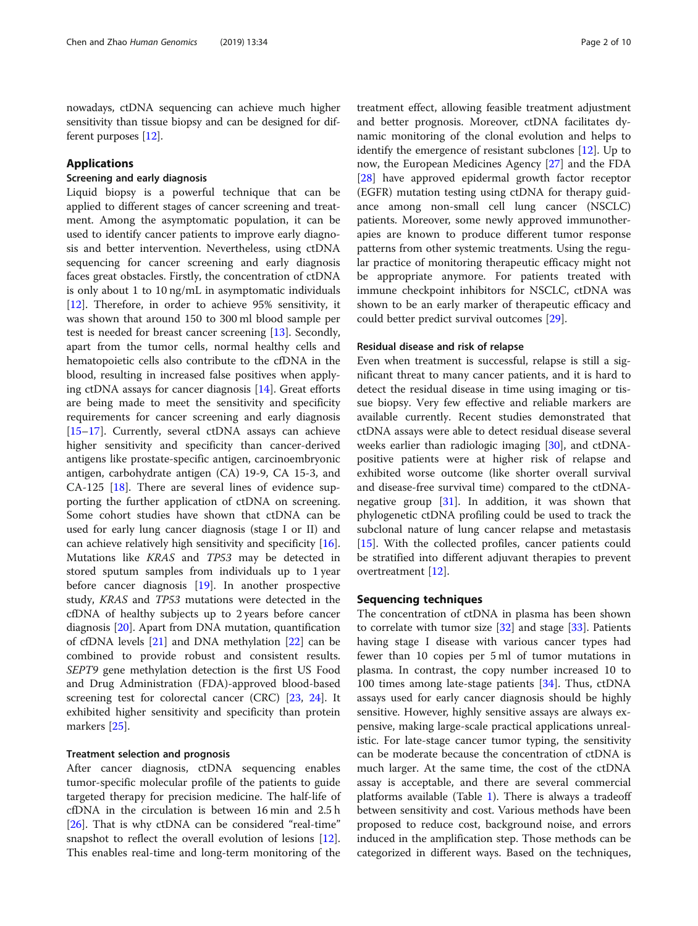nowadays, ctDNA sequencing can achieve much higher sensitivity than tissue biopsy and can be designed for different purposes [\[12\]](#page-6-0).

#### Applications

#### Screening and early diagnosis

Liquid biopsy is a powerful technique that can be applied to different stages of cancer screening and treatment. Among the asymptomatic population, it can be used to identify cancer patients to improve early diagnosis and better intervention. Nevertheless, using ctDNA sequencing for cancer screening and early diagnosis faces great obstacles. Firstly, the concentration of ctDNA is only about 1 to 10 ng/mL in asymptomatic individuals [[12\]](#page-6-0). Therefore, in order to achieve 95% sensitivity, it was shown that around 150 to 300 ml blood sample per test is needed for breast cancer screening [[13](#page-7-0)]. Secondly, apart from the tumor cells, normal healthy cells and hematopoietic cells also contribute to the cfDNA in the blood, resulting in increased false positives when applying ctDNA assays for cancer diagnosis [\[14](#page-7-0)]. Great efforts are being made to meet the sensitivity and specificity requirements for cancer screening and early diagnosis [[15](#page-7-0)–[17](#page-7-0)]. Currently, several ctDNA assays can achieve higher sensitivity and specificity than cancer-derived antigens like prostate-specific antigen, carcinoembryonic antigen, carbohydrate antigen (CA) 19-9, CA 15-3, and CA-125 [[18\]](#page-7-0). There are several lines of evidence supporting the further application of ctDNA on screening. Some cohort studies have shown that ctDNA can be used for early lung cancer diagnosis (stage I or II) and can achieve relatively high sensitivity and specificity [\[16](#page-7-0)]. Mutations like KRAS and TP53 may be detected in stored sputum samples from individuals up to 1 year before cancer diagnosis [\[19](#page-7-0)]. In another prospective study, KRAS and TP53 mutations were detected in the cfDNA of healthy subjects up to 2 years before cancer diagnosis [\[20](#page-7-0)]. Apart from DNA mutation, quantification of cfDNA levels [\[21\]](#page-7-0) and DNA methylation [\[22](#page-7-0)] can be combined to provide robust and consistent results. SEPT9 gene methylation detection is the first US Food and Drug Administration (FDA)-approved blood-based screening test for colorectal cancer (CRC) [\[23,](#page-7-0) [24\]](#page-7-0). It exhibited higher sensitivity and specificity than protein markers [[25\]](#page-7-0).

#### Treatment selection and prognosis

After cancer diagnosis, ctDNA sequencing enables tumor-specific molecular profile of the patients to guide targeted therapy for precision medicine. The half-life of cfDNA in the circulation is between 16 min and 2.5 h [[26\]](#page-7-0). That is why ctDNA can be considered "real-time" snapshot to reflect the overall evolution of lesions [\[12](#page-6-0)]. This enables real-time and long-term monitoring of the

treatment effect, allowing feasible treatment adjustment and better prognosis. Moreover, ctDNA facilitates dynamic monitoring of the clonal evolution and helps to identify the emergence of resistant subclones [[12](#page-6-0)]. Up to now, the European Medicines Agency [\[27](#page-7-0)] and the FDA [[28\]](#page-7-0) have approved epidermal growth factor receptor (EGFR) mutation testing using ctDNA for therapy guidance among non-small cell lung cancer (NSCLC) patients. Moreover, some newly approved immunotherapies are known to produce different tumor response patterns from other systemic treatments. Using the regular practice of monitoring therapeutic efficacy might not be appropriate anymore. For patients treated with immune checkpoint inhibitors for NSCLC, ctDNA was shown to be an early marker of therapeutic efficacy and could better predict survival outcomes [[29\]](#page-7-0).

#### Residual disease and risk of relapse

Even when treatment is successful, relapse is still a significant threat to many cancer patients, and it is hard to detect the residual disease in time using imaging or tissue biopsy. Very few effective and reliable markers are available currently. Recent studies demonstrated that ctDNA assays were able to detect residual disease several weeks earlier than radiologic imaging [\[30\]](#page-7-0), and ctDNApositive patients were at higher risk of relapse and exhibited worse outcome (like shorter overall survival and disease-free survival time) compared to the ctDNAnegative group  $[31]$  $[31]$ . In addition, it was shown that phylogenetic ctDNA profiling could be used to track the subclonal nature of lung cancer relapse and metastasis [[15\]](#page-7-0). With the collected profiles, cancer patients could be stratified into different adjuvant therapies to prevent overtreatment [[12](#page-6-0)].

#### Sequencing techniques

The concentration of ctDNA in plasma has been shown to correlate with tumor size  $[32]$  $[32]$  and stage  $[33]$  $[33]$ . Patients having stage I disease with various cancer types had fewer than 10 copies per 5 ml of tumor mutations in plasma. In contrast, the copy number increased 10 to 100 times among late-stage patients [\[34\]](#page-7-0). Thus, ctDNA assays used for early cancer diagnosis should be highly sensitive. However, highly sensitive assays are always expensive, making large-scale practical applications unrealistic. For late-stage cancer tumor typing, the sensitivity can be moderate because the concentration of ctDNA is much larger. At the same time, the cost of the ctDNA assay is acceptable, and there are several commercial platforms available (Table [1\)](#page-2-0). There is always a tradeoff between sensitivity and cost. Various methods have been proposed to reduce cost, background noise, and errors induced in the amplification step. Those methods can be categorized in different ways. Based on the techniques,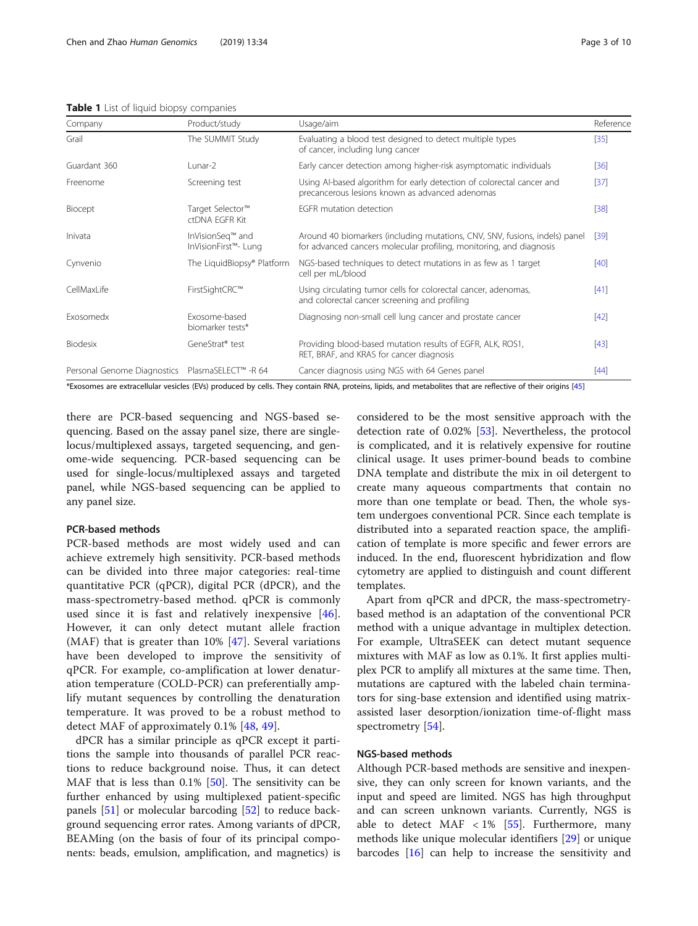<span id="page-2-0"></span>Table 1 List of liquid biopsy companies

| Company                     | Product/study                                  | Usage/aim                                                                                                                                          | Reference |
|-----------------------------|------------------------------------------------|----------------------------------------------------------------------------------------------------------------------------------------------------|-----------|
| Grail                       | The SUMMIT Study                               | Evaluating a blood test designed to detect multiple types<br>of cancer, including lung cancer                                                      | $[35]$    |
| Guardant 360                | Lunar-2                                        | Early cancer detection among higher-risk asymptomatic individuals                                                                                  | [36]      |
| Freenome                    | Screening test                                 | Using Al-based algorithm for early detection of colorectal cancer and<br>precancerous lesions known as advanced adenomas                           | $[37]$    |
| Biocept                     | Target Selector <sup>™</sup><br>ctDNA EGFR Kit | <b>EGFR</b> mutation detection                                                                                                                     | $[38]$    |
| Inivata                     | InVisionSeq™ and<br>InVisionFirst™- Lung       | Around 40 biomarkers (including mutations, CNV, SNV, fusions, indels) panel<br>for advanced cancers molecular profiling, monitoring, and diagnosis | $[39]$    |
| Cynvenio                    | The LiquidBiopsy® Platform                     | NGS-based techniques to detect mutations in as few as 1 target<br>cell per mL/blood                                                                | [40]      |
| CellMaxLife                 | FirstSightCRC™                                 | Using circulating tumor cells for colorectal cancer, adenomas,<br>and colorectal cancer screening and profiling                                    | $[41]$    |
| Exosomedx                   | Exosome-based<br>biomarker tests*              | Diagnosing non-small cell lung cancer and prostate cancer                                                                                          | $[42]$    |
| <b>Biodesix</b>             | GeneStrat <sup>®</sup> test                    | Providing blood-based mutation results of EGFR, ALK, ROS1,<br>RET, BRAF, and KRAS for cancer diagnosis                                             | $[43]$    |
| Personal Genome Diagnostics | PlasmaSELECT™ -R 64                            | Cancer diagnosis using NGS with 64 Genes panel                                                                                                     | $[44]$    |

\*Exosomes are extracellular vesicles (EVs) produced by cells. They contain RNA, proteins, lipids, and metabolites that are reflective of their origins [\[45](#page-7-0)]

there are PCR-based sequencing and NGS-based sequencing. Based on the assay panel size, there are singlelocus/multiplexed assays, targeted sequencing, and genome-wide sequencing. PCR-based sequencing can be used for single-locus/multiplexed assays and targeted panel, while NGS-based sequencing can be applied to any panel size.

#### PCR-based methods

PCR-based methods are most widely used and can achieve extremely high sensitivity. PCR-based methods can be divided into three major categories: real-time quantitative PCR (qPCR), digital PCR (dPCR), and the mass-spectrometry-based method. qPCR is commonly used since it is fast and relatively inexpensive [\[46](#page-7-0)]. However, it can only detect mutant allele fraction (MAF) that is greater than 10% [[47\]](#page-7-0). Several variations have been developed to improve the sensitivity of qPCR. For example, co-amplification at lower denaturation temperature (COLD-PCR) can preferentially amplify mutant sequences by controlling the denaturation temperature. It was proved to be a robust method to detect MAF of approximately 0.1% [\[48](#page-7-0), [49](#page-7-0)].

dPCR has a similar principle as qPCR except it partitions the sample into thousands of parallel PCR reactions to reduce background noise. Thus, it can detect MAF that is less than 0.1% [\[50](#page-7-0)]. The sensitivity can be further enhanced by using multiplexed patient-specific panels [\[51\]](#page-7-0) or molecular barcoding [\[52](#page-7-0)] to reduce background sequencing error rates. Among variants of dPCR, BEAMing (on the basis of four of its principal components: beads, emulsion, amplification, and magnetics) is considered to be the most sensitive approach with the detection rate of 0.02% [[53](#page-7-0)]. Nevertheless, the protocol is complicated, and it is relatively expensive for routine clinical usage. It uses primer-bound beads to combine DNA template and distribute the mix in oil detergent to create many aqueous compartments that contain no more than one template or bead. Then, the whole system undergoes conventional PCR. Since each template is distributed into a separated reaction space, the amplification of template is more specific and fewer errors are induced. In the end, fluorescent hybridization and flow cytometry are applied to distinguish and count different templates.

Apart from qPCR and dPCR, the mass-spectrometrybased method is an adaptation of the conventional PCR method with a unique advantage in multiplex detection. For example, UltraSEEK can detect mutant sequence mixtures with MAF as low as 0.1%. It first applies multiplex PCR to amplify all mixtures at the same time. Then, mutations are captured with the labeled chain terminators for sing-base extension and identified using matrixassisted laser desorption/ionization time-of-flight mass spectrometry [[54](#page-7-0)].

#### NGS-based methods

Although PCR-based methods are sensitive and inexpensive, they can only screen for known variants, and the input and speed are limited. NGS has high throughput and can screen unknown variants. Currently, NGS is able to detect MAF <  $1\%$  [\[55\]](#page-7-0). Furthermore, many methods like unique molecular identifiers [\[29](#page-7-0)] or unique barcodes [\[16\]](#page-7-0) can help to increase the sensitivity and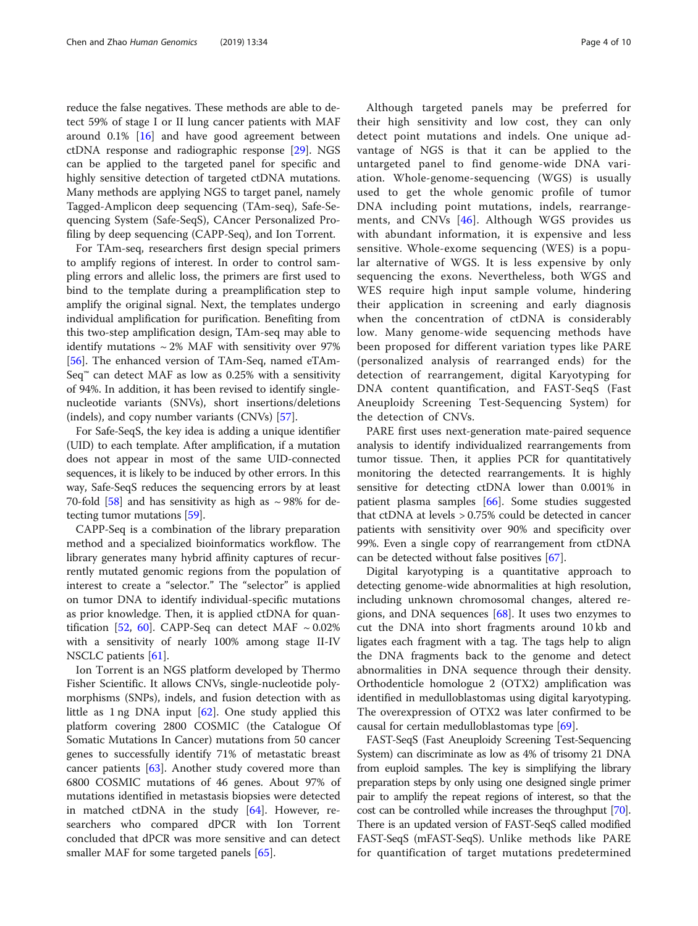reduce the false negatives. These methods are able to detect 59% of stage I or II lung cancer patients with MAF around 0.1% [\[16\]](#page-7-0) and have good agreement between ctDNA response and radiographic response [[29\]](#page-7-0). NGS can be applied to the targeted panel for specific and highly sensitive detection of targeted ctDNA mutations. Many methods are applying NGS to target panel, namely Tagged-Amplicon deep sequencing (TAm-seq), Safe-Sequencing System (Safe-SeqS), CAncer Personalized Profiling by deep sequencing (CAPP-Seq), and Ion Torrent.

For TAm-seq, researchers first design special primers to amplify regions of interest. In order to control sampling errors and allelic loss, the primers are first used to bind to the template during a preamplification step to amplify the original signal. Next, the templates undergo individual amplification for purification. Benefiting from this two-step amplification design, TAm-seq may able to identify mutations  $\sim$  2% MAF with sensitivity over 97% [[56\]](#page-7-0). The enhanced version of TAm-Seq, named eTAm-Seq<sup>™</sup> can detect MAF as low as 0.25% with a sensitivity of 94%. In addition, it has been revised to identify singlenucleotide variants (SNVs), short insertions/deletions (indels), and copy number variants (CNVs) [[57\]](#page-7-0).

For Safe-SeqS, the key idea is adding a unique identifier (UID) to each template. After amplification, if a mutation does not appear in most of the same UID-connected sequences, it is likely to be induced by other errors. In this way, Safe-SeqS reduces the sequencing errors by at least 70-fold [\[58\]](#page-8-0) and has sensitivity as high as  $\sim$  98% for detecting tumor mutations [\[59\]](#page-8-0).

CAPP-Seq is a combination of the library preparation method and a specialized bioinformatics workflow. The library generates many hybrid affinity captures of recurrently mutated genomic regions from the population of interest to create a "selector." The "selector" is applied on tumor DNA to identify individual-specific mutations as prior knowledge. Then, it is applied ctDNA for quan-tification [[52](#page-7-0), [60](#page-8-0)]. CAPP-Seq can detect MAF  $\sim 0.02\%$ with a sensitivity of nearly 100% among stage II-IV NSCLC patients [\[61](#page-8-0)].

Ion Torrent is an NGS platform developed by Thermo Fisher Scientific. It allows CNVs, single-nucleotide polymorphisms (SNPs), indels, and fusion detection with as little as  $1 \text{ ng DNA input } [62]$  $1 \text{ ng DNA input } [62]$ . One study applied this platform covering 2800 COSMIC (the Catalogue Of Somatic Mutations In Cancer) mutations from 50 cancer genes to successfully identify 71% of metastatic breast cancer patients [\[63\]](#page-8-0). Another study covered more than 6800 COSMIC mutations of 46 genes. About 97% of mutations identified in metastasis biopsies were detected in matched ctDNA in the study [[64\]](#page-8-0). However, researchers who compared dPCR with Ion Torrent concluded that dPCR was more sensitive and can detect smaller MAF for some targeted panels [\[65](#page-8-0)].

Although targeted panels may be preferred for their high sensitivity and low cost, they can only detect point mutations and indels. One unique advantage of NGS is that it can be applied to the untargeted panel to find genome-wide DNA variation. Whole-genome-sequencing (WGS) is usually used to get the whole genomic profile of tumor DNA including point mutations, indels, rearrangements, and CNVs [\[46](#page-7-0)]. Although WGS provides us with abundant information, it is expensive and less sensitive. Whole-exome sequencing (WES) is a popular alternative of WGS. It is less expensive by only sequencing the exons. Nevertheless, both WGS and WES require high input sample volume, hindering their application in screening and early diagnosis when the concentration of ctDNA is considerably low. Many genome-wide sequencing methods have been proposed for different variation types like PARE (personalized analysis of rearranged ends) for the detection of rearrangement, digital Karyotyping for DNA content quantification, and FAST-SeqS (Fast Aneuploidy Screening Test-Sequencing System) for the detection of CNVs.

PARE first uses next-generation mate-paired sequence analysis to identify individualized rearrangements from tumor tissue. Then, it applies PCR for quantitatively monitoring the detected rearrangements. It is highly sensitive for detecting ctDNA lower than 0.001% in patient plasma samples [\[66\]](#page-8-0). Some studies suggested that ctDNA at levels > 0.75% could be detected in cancer patients with sensitivity over 90% and specificity over 99%. Even a single copy of rearrangement from ctDNA can be detected without false positives [\[67](#page-8-0)].

Digital karyotyping is a quantitative approach to detecting genome-wide abnormalities at high resolution, including unknown chromosomal changes, altered regions, and DNA sequences  $[68]$  $[68]$ . It uses two enzymes to cut the DNA into short fragments around 10 kb and ligates each fragment with a tag. The tags help to align the DNA fragments back to the genome and detect abnormalities in DNA sequence through their density. Orthodenticle homologue 2 (OTX2) amplification was identified in medulloblastomas using digital karyotyping. The overexpression of OTX2 was later confirmed to be causal for certain medulloblastomas type [\[69](#page-8-0)].

FAST-SeqS (Fast Aneuploidy Screening Test-Sequencing System) can discriminate as low as 4% of trisomy 21 DNA from euploid samples. The key is simplifying the library preparation steps by only using one designed single primer pair to amplify the repeat regions of interest, so that the cost can be controlled while increases the throughput [\[70](#page-8-0)]. There is an updated version of FAST-SeqS called modified FAST-SeqS (mFAST-SeqS). Unlike methods like PARE for quantification of target mutations predetermined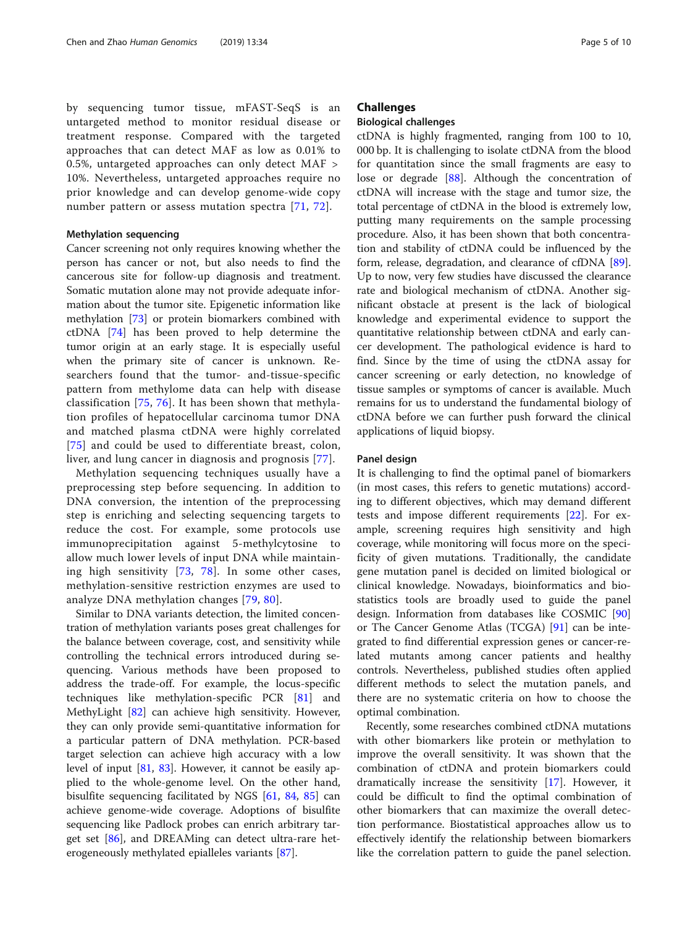by sequencing tumor tissue, mFAST-SeqS is an untargeted method to monitor residual disease or treatment response. Compared with the targeted approaches that can detect MAF as low as 0.01% to 0.5%, untargeted approaches can only detect MAF > 10%. Nevertheless, untargeted approaches require no prior knowledge and can develop genome-wide copy number pattern or assess mutation spectra [\[71](#page-8-0), [72\]](#page-8-0).

#### Methylation sequencing

Cancer screening not only requires knowing whether the person has cancer or not, but also needs to find the cancerous site for follow-up diagnosis and treatment. Somatic mutation alone may not provide adequate information about the tumor site. Epigenetic information like methylation [[73\]](#page-8-0) or protein biomarkers combined with ctDNA [[74\]](#page-8-0) has been proved to help determine the tumor origin at an early stage. It is especially useful when the primary site of cancer is unknown. Researchers found that the tumor- and-tissue-specific pattern from methylome data can help with disease classification [[75](#page-8-0), [76\]](#page-8-0). It has been shown that methylation profiles of hepatocellular carcinoma tumor DNA and matched plasma ctDNA were highly correlated [[75](#page-8-0)] and could be used to differentiate breast, colon, liver, and lung cancer in diagnosis and prognosis [\[77\]](#page-8-0).

Methylation sequencing techniques usually have a preprocessing step before sequencing. In addition to DNA conversion, the intention of the preprocessing step is enriching and selecting sequencing targets to reduce the cost. For example, some protocols use immunoprecipitation against 5-methylcytosine to allow much lower levels of input DNA while maintaining high sensitivity [[73](#page-8-0), [78\]](#page-8-0). In some other cases, methylation-sensitive restriction enzymes are used to analyze DNA methylation changes [[79,](#page-8-0) [80](#page-8-0)].

Similar to DNA variants detection, the limited concentration of methylation variants poses great challenges for the balance between coverage, cost, and sensitivity while controlling the technical errors introduced during sequencing. Various methods have been proposed to address the trade-off. For example, the locus-specific techniques like methylation-specific PCR [[81\]](#page-8-0) and MethyLight [\[82\]](#page-8-0) can achieve high sensitivity. However, they can only provide semi-quantitative information for a particular pattern of DNA methylation. PCR-based target selection can achieve high accuracy with a low level of input [[81,](#page-8-0) [83](#page-8-0)]. However, it cannot be easily applied to the whole-genome level. On the other hand, bisulfite sequencing facilitated by NGS [\[61](#page-8-0), [84](#page-8-0), [85](#page-8-0)] can achieve genome-wide coverage. Adoptions of bisulfite sequencing like Padlock probes can enrich arbitrary target set [\[86](#page-8-0)], and DREAMing can detect ultra-rare heterogeneously methylated epialleles variants [[87\]](#page-8-0).

#### Challenges

#### Biological challenges

ctDNA is highly fragmented, ranging from 100 to 10, 000 bp. It is challenging to isolate ctDNA from the blood for quantitation since the small fragments are easy to lose or degrade [[88\]](#page-8-0). Although the concentration of ctDNA will increase with the stage and tumor size, the total percentage of ctDNA in the blood is extremely low, putting many requirements on the sample processing procedure. Also, it has been shown that both concentration and stability of ctDNA could be influenced by the form, release, degradation, and clearance of cfDNA [\[89](#page-8-0)]. Up to now, very few studies have discussed the clearance rate and biological mechanism of ctDNA. Another significant obstacle at present is the lack of biological knowledge and experimental evidence to support the quantitative relationship between ctDNA and early cancer development. The pathological evidence is hard to find. Since by the time of using the ctDNA assay for cancer screening or early detection, no knowledge of tissue samples or symptoms of cancer is available. Much remains for us to understand the fundamental biology of ctDNA before we can further push forward the clinical applications of liquid biopsy.

#### Panel design

It is challenging to find the optimal panel of biomarkers (in most cases, this refers to genetic mutations) according to different objectives, which may demand different tests and impose different requirements [\[22\]](#page-7-0). For example, screening requires high sensitivity and high coverage, while monitoring will focus more on the specificity of given mutations. Traditionally, the candidate gene mutation panel is decided on limited biological or clinical knowledge. Nowadays, bioinformatics and biostatistics tools are broadly used to guide the panel design. Information from databases like COSMIC [[90](#page-8-0)] or The Cancer Genome Atlas (TCGA) [\[91](#page-8-0)] can be integrated to find differential expression genes or cancer-related mutants among cancer patients and healthy controls. Nevertheless, published studies often applied different methods to select the mutation panels, and there are no systematic criteria on how to choose the optimal combination.

Recently, some researches combined ctDNA mutations with other biomarkers like protein or methylation to improve the overall sensitivity. It was shown that the combination of ctDNA and protein biomarkers could dramatically increase the sensitivity [[17\]](#page-7-0). However, it could be difficult to find the optimal combination of other biomarkers that can maximize the overall detection performance. Biostatistical approaches allow us to effectively identify the relationship between biomarkers like the correlation pattern to guide the panel selection.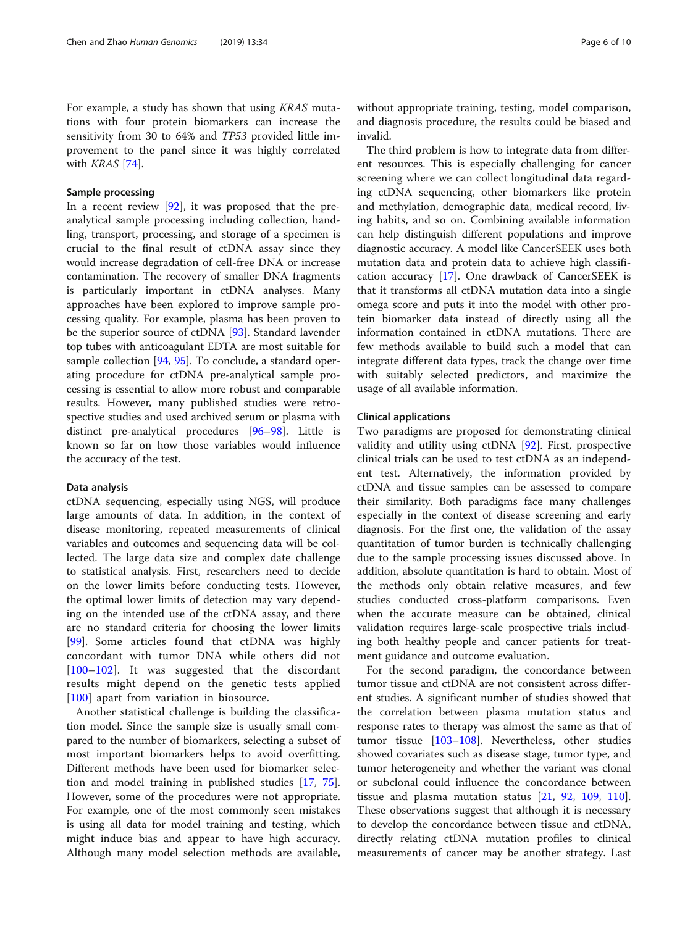For example, a study has shown that using KRAS muta-

tions with four protein biomarkers can increase the sensitivity from 30 to 64% and TP53 provided little improvement to the panel since it was highly correlated with KRAS [[74](#page-8-0)].

#### Sample processing

In a recent review  $[92]$  $[92]$ , it was proposed that the preanalytical sample processing including collection, handling, transport, processing, and storage of a specimen is crucial to the final result of ctDNA assay since they would increase degradation of cell-free DNA or increase contamination. The recovery of smaller DNA fragments is particularly important in ctDNA analyses. Many approaches have been explored to improve sample processing quality. For example, plasma has been proven to be the superior source of ctDNA [\[93](#page-8-0)]. Standard lavender top tubes with anticoagulant EDTA are most suitable for sample collection [\[94,](#page-8-0) [95\]](#page-8-0). To conclude, a standard operating procedure for ctDNA pre-analytical sample processing is essential to allow more robust and comparable results. However, many published studies were retrospective studies and used archived serum or plasma with distinct pre-analytical procedures [\[96](#page-8-0)–[98\]](#page-9-0). Little is known so far on how those variables would influence the accuracy of the test.

#### Data analysis

ctDNA sequencing, especially using NGS, will produce large amounts of data. In addition, in the context of disease monitoring, repeated measurements of clinical variables and outcomes and sequencing data will be collected. The large data size and complex date challenge to statistical analysis. First, researchers need to decide on the lower limits before conducting tests. However, the optimal lower limits of detection may vary depending on the intended use of the ctDNA assay, and there are no standard criteria for choosing the lower limits [[99\]](#page-9-0). Some articles found that ctDNA was highly concordant with tumor DNA while others did not [[100](#page-9-0)–[102\]](#page-9-0). It was suggested that the discordant results might depend on the genetic tests applied [[100](#page-9-0)] apart from variation in biosource.

Another statistical challenge is building the classification model. Since the sample size is usually small compared to the number of biomarkers, selecting a subset of most important biomarkers helps to avoid overfitting. Different methods have been used for biomarker selection and model training in published studies [[17](#page-7-0), [75](#page-8-0)]. However, some of the procedures were not appropriate. For example, one of the most commonly seen mistakes is using all data for model training and testing, which might induce bias and appear to have high accuracy. Although many model selection methods are available, without appropriate training, testing, model comparison, and diagnosis procedure, the results could be biased and invalid.

The third problem is how to integrate data from different resources. This is especially challenging for cancer screening where we can collect longitudinal data regarding ctDNA sequencing, other biomarkers like protein and methylation, demographic data, medical record, living habits, and so on. Combining available information can help distinguish different populations and improve diagnostic accuracy. A model like CancerSEEK uses both mutation data and protein data to achieve high classification accuracy [[17](#page-7-0)]. One drawback of CancerSEEK is that it transforms all ctDNA mutation data into a single omega score and puts it into the model with other protein biomarker data instead of directly using all the information contained in ctDNA mutations. There are few methods available to build such a model that can integrate different data types, track the change over time with suitably selected predictors, and maximize the usage of all available information.

#### Clinical applications

Two paradigms are proposed for demonstrating clinical validity and utility using ctDNA [[92\]](#page-8-0). First, prospective clinical trials can be used to test ctDNA as an independent test. Alternatively, the information provided by ctDNA and tissue samples can be assessed to compare their similarity. Both paradigms face many challenges especially in the context of disease screening and early diagnosis. For the first one, the validation of the assay quantitation of tumor burden is technically challenging due to the sample processing issues discussed above. In addition, absolute quantitation is hard to obtain. Most of the methods only obtain relative measures, and few studies conducted cross-platform comparisons. Even when the accurate measure can be obtained, clinical validation requires large-scale prospective trials including both healthy people and cancer patients for treatment guidance and outcome evaluation.

For the second paradigm, the concordance between tumor tissue and ctDNA are not consistent across different studies. A significant number of studies showed that the correlation between plasma mutation status and response rates to therapy was almost the same as that of tumor tissue [\[103](#page-9-0)–[108\]](#page-9-0). Nevertheless, other studies showed covariates such as disease stage, tumor type, and tumor heterogeneity and whether the variant was clonal or subclonal could influence the concordance between tissue and plasma mutation status [[21,](#page-7-0) [92,](#page-8-0) [109](#page-9-0), [110](#page-9-0)]. These observations suggest that although it is necessary to develop the concordance between tissue and ctDNA, directly relating ctDNA mutation profiles to clinical measurements of cancer may be another strategy. Last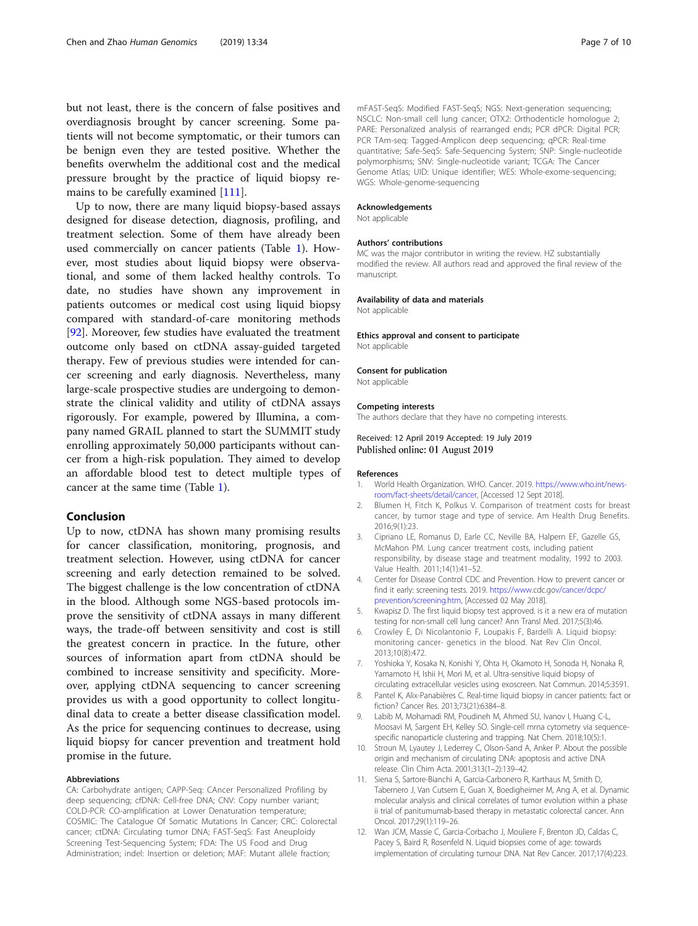<span id="page-6-0"></span>but not least, there is the concern of false positives and overdiagnosis brought by cancer screening. Some patients will not become symptomatic, or their tumors can be benign even they are tested positive. Whether the benefits overwhelm the additional cost and the medical pressure brought by the practice of liquid biopsy remains to be carefully examined [[111](#page-9-0)].

Up to now, there are many liquid biopsy-based assays designed for disease detection, diagnosis, profiling, and treatment selection. Some of them have already been used commercially on cancer patients (Table [1](#page-2-0)). However, most studies about liquid biopsy were observational, and some of them lacked healthy controls. To date, no studies have shown any improvement in patients outcomes or medical cost using liquid biopsy compared with standard-of-care monitoring methods [[92\]](#page-8-0). Moreover, few studies have evaluated the treatment outcome only based on ctDNA assay-guided targeted therapy. Few of previous studies were intended for cancer screening and early diagnosis. Nevertheless, many large-scale prospective studies are undergoing to demonstrate the clinical validity and utility of ctDNA assays rigorously. For example, powered by Illumina, a company named GRAIL planned to start the SUMMIT study enrolling approximately 50,000 participants without cancer from a high-risk population. They aimed to develop an affordable blood test to detect multiple types of cancer at the same time (Table [1\)](#page-2-0).

#### Conclusion

Up to now, ctDNA has shown many promising results for cancer classification, monitoring, prognosis, and treatment selection. However, using ctDNA for cancer screening and early detection remained to be solved. The biggest challenge is the low concentration of ctDNA in the blood. Although some NGS-based protocols improve the sensitivity of ctDNA assays in many different ways, the trade-off between sensitivity and cost is still the greatest concern in practice. In the future, other sources of information apart from ctDNA should be combined to increase sensitivity and specificity. Moreover, applying ctDNA sequencing to cancer screening provides us with a good opportunity to collect longitudinal data to create a better disease classification model. As the price for sequencing continues to decrease, using liquid biopsy for cancer prevention and treatment hold promise in the future.

#### Abbreviations

CA: Carbohydrate antigen; CAPP-Seq: CAncer Personalized Profiling by deep sequencing; cfDNA: Cell-free DNA; CNV: Copy number variant; COLD-PCR: CO-amplification at Lower Denaturation temperature; COSMIC: The Catalogue Of Somatic Mutations In Cancer; CRC: Colorectal cancer; ctDNA: Circulating tumor DNA; FAST-SeqS: Fast Aneuploidy Screening Test-Sequencing System; FDA: The US Food and Drug Administration; indel: Insertion or deletion; MAF: Mutant allele fraction;

mFAST-SeqS: Modified FAST-SeqS; NGS: Next-generation sequencing; NSCLC: Non-small cell lung cancer; OTX2: Orthodenticle homologue 2; PARE: Personalized analysis of rearranged ends; PCR dPCR: Digital PCR; PCR TAm-seq: Tagged-Amplicon deep sequencing; qPCR: Real-time quantitative; Safe-SeqS: Safe-Sequencing System; SNP: Single-nucleotide polymorphisms; SNV: Single-nucleotide variant; TCGA: The Cancer Genome Atlas; UID: Unique identifier; WES: Whole-exome-sequencing; WGS: Whole-genome-sequencing

#### Acknowledgements

Not applicable

#### Authors' contributions

MC was the major contributor in writing the review. HZ substantially modified the review. All authors read and approved the final review of the manuscript.

#### Availability of data and materials

Not applicable

Ethics approval and consent to participate Not applicable

#### Consent for publication

Not applicable

#### Competing interests

The authors declare that they have no competing interests.

Received: 12 April 2019 Accepted: 19 July 2019 Published online: 01 August 2019

#### References

- 1. World Health Organization. WHO. Cancer. 2019. [https://www.who.int/news](http://www.who.int/news-room/fact-sheets/detail/cancer)[room/fact-sheets/detail/cancer](http://www.who.int/news-room/fact-sheets/detail/cancer), [Accessed 12 Sept 2018].
- 2. Blumen H, Fitch K, Polkus V. Comparison of treatment costs for breast cancer, by tumor stage and type of service. Am Health Drug Benefits. 2016;9(1):23.
- 3. Cipriano LE, Romanus D, Earle CC, Neville BA, Halpern EF, Gazelle GS, McMahon PM. Lung cancer treatment costs, including patient responsibility, by disease stage and treatment modality, 1992 to 2003. Value Health. 2011;14(1):41–52.
- 4. Center for Disease Control CDC and Prevention. How to prevent cancer or find it early: screening tests. 2019. [https://www](http://www.cdc.gov/cancer/dcpc/prevention/screening.htm).cdc.g[ov/cancer/dcpc/](http://www.cdc.gov/cancer/dcpc/prevention/screening.htm) [prevention/screening.htm,](http://www.cdc.gov/cancer/dcpc/prevention/screening.htm) [Accessed 02 May 2018].
- Kwapisz D. The first liquid biopsy test approved. is it a new era of mutation testing for non-small cell lung cancer? Ann Transl Med. 2017;5(3):46.
- 6. Crowley E, Di Nicolantonio F, Loupakis F, Bardelli A. Liquid biopsy: monitoring cancer- genetics in the blood. Nat Rev Clin Oncol. 2013;10(8):472.
- 7. Yoshioka Y, Kosaka N, Konishi Y, Ohta H, Okamoto H, Sonoda H, Nonaka R, Yamamoto H, Ishii H, Mori M, et al. Ultra-sensitive liquid biopsy of circulating extracellular vesicles using exoscreen. Nat Commun. 2014;5:3591.
- 8. Pantel K, Alix-Panabières C. Real-time liquid biopsy in cancer patients: fact or fiction? Cancer Res. 2013;73(21):6384–8.
- 9. Labib M, Mohamadi RM, Poudineh M, Ahmed SU, Ivanov I, Huang C-L, Moosavi M, Sargent EH, Kelley SO. Single-cell mrna cytometry via sequencespecific nanoparticle clustering and trapping. Nat Chem. 2018;10(5):1.
- 10. Stroun M, Lyautey J, Lederrey C, Olson-Sand A, Anker P. About the possible origin and mechanism of circulating DNA: apoptosis and active DNA release. Clin Chim Acta. 2001;313(1–2):139–42.
- 11. Siena S, Sartore-Bianchi A, Garcia-Carbonero R, Karthaus M, Smith D, Tabernero J, Van Cutsem E, Guan X, Boedigheimer M, Ang A, et al. Dynamic molecular analysis and clinical correlates of tumor evolution within a phase ii trial of panitumumab-based therapy in metastatic colorectal cancer. Ann Oncol. 2017;29(1):119–26.
- 12. Wan JCM, Massie C, Garcia-Corbacho J, Mouliere F, Brenton JD, Caldas C, Pacey S, Baird R, Rosenfeld N. Liquid biopsies come of age: towards implementation of circulating tumour DNA. Nat Rev Cancer. 2017;17(4):223.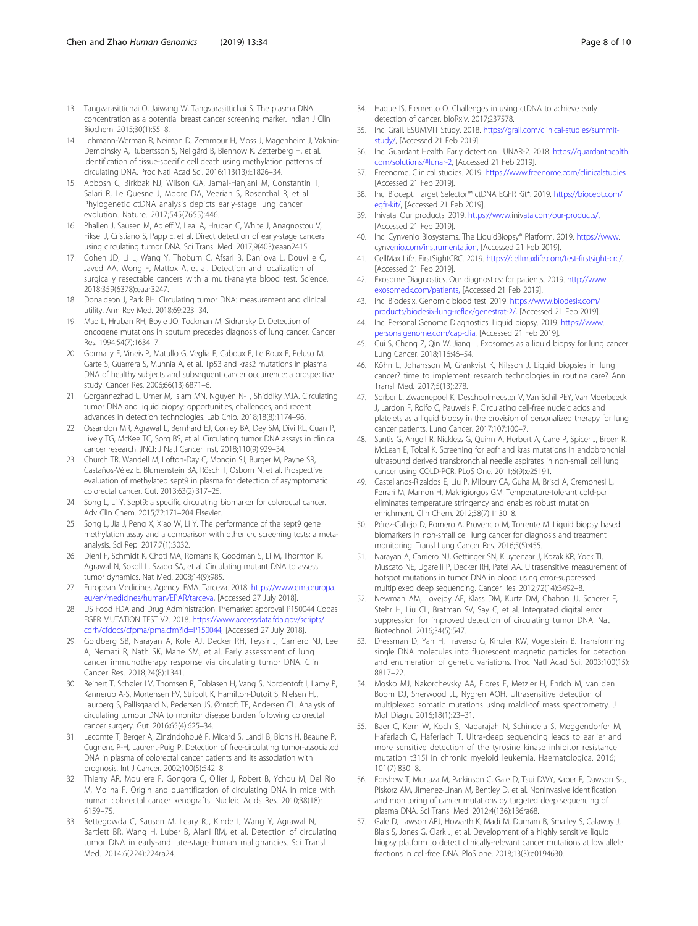- <span id="page-7-0"></span>13. Tangvarasittichai O, Jaiwang W, Tangvarasittichai S. The plasma DNA concentration as a potential breast cancer screening marker. Indian J Clin Biochem. 2015;30(1):55–8.
- 14. Lehmann-Werman R, Neiman D, Zemmour H, Moss J, Magenheim J, Vaknin-Dembinsky A, Rubertsson S, Nellgård B, Blennow K, Zetterberg H, et al. Identification of tissue-specific cell death using methylation patterns of circulating DNA. Proc Natl Acad Sci. 2016;113(13):E1826–34.
- 15. Abbosh C, Birkbak NJ, Wilson GA, Jamal-Hanjani M, Constantin T, Salari R, Le Quesne J, Moore DA, Veeriah S, Rosenthal R, et al. Phylogenetic ctDNA analysis depicts early-stage lung cancer evolution. Nature. 2017;545(7655):446.
- 16. Phallen J, Sausen M, Adleff V, Leal A, Hruban C, White J, Anagnostou V, Fiksel J, Cristiano S, Papp E, et al. Direct detection of early-stage cancers using circulating tumor DNA. Sci Transl Med. 2017;9(403):eaan2415.
- 17. Cohen JD, Li L, Wang Y, Thoburn C, Afsari B, Danilova L, Douville C, Javed AA, Wong F, Mattox A, et al. Detection and localization of surgically resectable cancers with a multi-analyte blood test. Science. 2018;359(6378):eaar3247.
- 18. Donaldson J, Park BH. Circulating tumor DNA: measurement and clinical utility. Ann Rev Med. 2018;69:223–34.
- 19. Mao L, Hruban RH, Boyle JO, Tockman M, Sidransky D. Detection of oncogene mutations in sputum precedes diagnosis of lung cancer. Cancer Res. 1994;54(7):1634–7.
- 20. Gormally E, Vineis P, Matullo G, Veglia F, Caboux E, Le Roux E, Peluso M, Garte S, Guarrera S, Munnia A, et al. Tp53 and kras2 mutations in plasma DNA of healthy subjects and subsequent cancer occurrence: a prospective study. Cancer Res. 2006;66(13):6871–6.
- 21. Gorgannezhad L, Umer M, Islam MN, Nguyen N-T, Shiddiky MJA. Circulating tumor DNA and liquid biopsy: opportunities, challenges, and recent advances in detection technologies. Lab Chip. 2018;18(8):1174–96.
- 22. Ossandon MR, Agrawal L, Bernhard EJ, Conley BA, Dey SM, Divi RL, Guan P, Lively TG, McKee TC, Sorg BS, et al. Circulating tumor DNA assays in clinical cancer research. JNCI: J Natl Cancer Inst. 2018;110(9):929–34.
- 23. Church TR, Wandell M, Lofton-Day C, Mongin SJ, Burger M, Payne SR, Castaños-Vélez E, Blumenstein BA, Rösch T, Osborn N, et al. Prospective evaluation of methylated sept9 in plasma for detection of asymptomatic colorectal cancer. Gut. 2013;63(2):317–25.
- 24. Song L, Li Y. Sept9: a specific circulating biomarker for colorectal cancer. Adv Clin Chem. 2015;72:171–204 Elsevier.
- 25. Song L, Jia J, Peng X, Xiao W, Li Y. The performance of the sept9 gene methylation assay and a comparison with other crc screening tests: a metaanalysis. Sci Rep. 2017;7(1):3032.
- 26. Diehl F, Schmidt K, Choti MA, Romans K, Goodman S, Li M, Thornton K, Agrawal N, Sokoll L, Szabo SA, et al. Circulating mutant DNA to assess tumor dynamics. Nat Med. 2008;14(9):985.
- 27. European Medicines Agency. EMA. Tarceva. 2018. [https://www.ema.europa.](https://www.ema.europa.eu/en/medicines/human/EPAR/tarceva) [eu/en/medicines/human/EPAR/tarceva](https://www.ema.europa.eu/en/medicines/human/EPAR/tarceva), [Accessed 27 July 2018].
- 28. US Food FDA and Drug Administration. Premarket approval P150044 Cobas EGFR MUTATION TEST V2. 2018. [https://www.accessdata.fda.gov/scripts/](http://www.accessdata.fda.gov/scripts/cdrh/cfdocs/cfpma/pma.cfm?id=P150044) [cdrh/cfdocs/cfpma/pma.cfm?id=P150044,](http://www.accessdata.fda.gov/scripts/cdrh/cfdocs/cfpma/pma.cfm?id=P150044) [Accessed 27 July 2018].
- 29. Goldberg SB, Narayan A, Kole AJ, Decker RH, Teysir J, Carriero NJ, Lee A, Nemati R, Nath SK, Mane SM, et al. Early assessment of lung cancer immunotherapy response via circulating tumor DNA. Clin Cancer Res. 2018;24(8):1341.
- 30. Reinert T, Schøler LV, Thomsen R, Tobiasen H, Vang S, Nordentoft I, Lamy P, Kannerup A-S, Mortensen FV, Stribolt K, Hamilton-Dutoit S, Nielsen HJ, Laurberg S, Pallisgaard N, Pedersen JS, Ørntoft TF, Andersen CL. Analysis of circulating tumour DNA to monitor disease burden following colorectal cancer surgery. Gut. 2016;65(4):625–34.
- 31. Lecomte T, Berger A, Zinzindohoué F, Micard S, Landi B, Blons H, Beaune P, Cugnenc P-H, Laurent-Puig P. Detection of free-circulating tumor-associated DNA in plasma of colorectal cancer patients and its association with prognosis. Int J Cancer. 2002;100(5):542–8.
- 32. Thierry AR, Mouliere F, Gongora C, Ollier J, Robert B, Ychou M, Del Rio M, Molina F. Origin and quantification of circulating DNA in mice with human colorectal cancer xenografts. Nucleic Acids Res. 2010;38(18): 6159–75.
- 33. Bettegowda C, Sausen M, Leary RJ, Kinde I, Wang Y, Agrawal N, Bartlett BR, Wang H, Luber B, Alani RM, et al. Detection of circulating tumor DNA in early-and late-stage human malignancies. Sci Transl Med. 2014;6(224):224ra24.
- 34. Haque IS, Elemento O. Challenges in using ctDNA to achieve early detection of cancer. bioRxiv. 2017;237578.
- 35. Inc. Grail. ESUMMIT Study. 2018. [https://grail.com/clinical-studies/summit](https://grail.com/clinical-studies/summit-study/)[study/,](https://grail.com/clinical-studies/summit-study/) [Accessed 21 Feb 2019].
- 36. Inc. Guardant Health. Early detection LUNAR-2. 2018. [https://guardanthealth.](https://guardanthealth.com/solutions/#lunar-2) [com/solutions/#lunar-2,](https://guardanthealth.com/solutions/#lunar-2) [Accessed 21 Feb 2019].
- 37. Freenome. Clinical studies. 2019. <https://www.freenome.com/clinicalstudies> [Accessed 21 Feb 2019].
- 38. Inc. Biocept. Target Selector™ ctDNA EGFR Kit\*. 2019. [https://biocept.com/](https://biocept.com/egfr-kit/) [egfr-kit/](https://biocept.com/egfr-kit/), [Accessed 21 Feb 2019].
- 39. Inivata. Our products. 2019. [https://www.](http://www.inivata.com/our-products/)iniv[ata.com/our-products/,](http://www.inivata.com/our-products/) [Accessed 21 Feb 2019].
- 40. Inc. Cynvenio Biosystems. The LiquidBiopsy® Platform. 2019. [https://www](http://www.cynvenio.com/instrumentation). cynv[enio.com/instrumentation,](http://www.cynvenio.com/instrumentation) [Accessed 21 Feb 2019].
- 41. CellMax Life. FirstSightCRC. 2019. <https://cellmaxlife.com/test-firstsight-crc/>, [Accessed 21 Feb 2019].
- 42. Exosome Diagnostics. Our diagnostics: for patients. 2019. [http://www.](http://www.exosomedx.com/patients) [exosomedx.com/patients,](http://www.exosomedx.com/patients) [Accessed 21 Feb 2019].
- 43. Inc. Biodesix. Genomic blood test. 2019. [https://www.biodesix.com/](http://www.biodesix.com/products/biodesix-lung-reflex/genestrat-2/) [products/biodesix-lung-reflex/genestrat-2/,](http://www.biodesix.com/products/biodesix-lung-reflex/genestrat-2/) [Accessed 21 Feb 2019].
- 44. Inc. Personal Genome Diagnostics. Liquid biopsy. 2019. [https://www.](https://www.personalgenome.com/cap-clia) [personalgenome.com/cap-clia,](https://www.personalgenome.com/cap-clia) [Accessed 21 Feb 2019].
- 45. Cui S, Cheng Z, Qin W, Jiang L. Exosomes as a liquid biopsy for lung cancer. Lung Cancer. 2018;116:46–54.
- 46. Köhn L, Johansson M, Grankvist K, Nilsson J. Liquid biopsies in lung cancer? time to implement research technologies in routine care? Ann Transl Med. 2017;5(13):278.
- 47. Sorber L, Zwaenepoel K, Deschoolmeester V, Van Schil PEY, Van Meerbeeck J, Lardon F, Rolfo C, Pauwels P. Circulating cell-free nucleic acids and platelets as a liquid biopsy in the provision of personalized therapy for lung cancer patients. Lung Cancer. 2017;107:100–7.
- 48. Santis G, Angell R, Nickless G, Quinn A, Herbert A, Cane P, Spicer J, Breen R, McLean E, Tobal K. Screening for egfr and kras mutations in endobronchial ultrasound derived transbronchial needle aspirates in non-small cell lung cancer using COLD-PCR. PLoS One. 2011;6(9):e25191.
- 49. Castellanos-Rizaldos E, Liu P, Milbury CA, Guha M, Brisci A, Cremonesi L, Ferrari M, Mamon H, Makrigiorgos GM. Temperature-tolerant cold-pcr eliminates temperature stringency and enables robust mutation enrichment. Clin Chem. 2012;58(7):1130–8.
- 50. Pérez-Callejo D, Romero A, Provencio M, Torrente M. Liquid biopsy based biomarkers in non-small cell lung cancer for diagnosis and treatment monitoring. Transl Lung Cancer Res. 2016;5(5):455.
- 51. Narayan A, Carriero NJ, Gettinger SN, Kluytenaar J, Kozak KR, Yock TI, Muscato NE, Ugarelli P, Decker RH, Patel AA. Ultrasensitive measurement of hotspot mutations in tumor DNA in blood using error-suppressed multiplexed deep sequencing. Cancer Res. 2012;72(14):3492–8.
- 52. Newman AM, Lovejoy AF, Klass DM, Kurtz DM, Chabon JJ, Scherer F, Stehr H, Liu CL, Bratman SV, Say C, et al. Integrated digital error suppression for improved detection of circulating tumor DNA. Nat Biotechnol. 2016;34(5):547.
- 53. Dressman D, Yan H, Traverso G, Kinzler KW, Vogelstein B. Transforming single DNA molecules into fluorescent magnetic particles for detection and enumeration of genetic variations. Proc Natl Acad Sci. 2003;100(15): 8817–22.
- 54. Mosko MJ, Nakorchevsky AA, Flores E, Metzler H, Ehrich M, van den Boom DJ, Sherwood JL, Nygren AOH. Ultrasensitive detection of multiplexed somatic mutations using maldi-tof mass spectrometry. J Mol Diagn. 2016;18(1):23–31.
- 55. Baer C, Kern W, Koch S, Nadarajah N, Schindela S, Meggendorfer M, Haferlach C, Haferlach T. Ultra-deep sequencing leads to earlier and more sensitive detection of the tyrosine kinase inhibitor resistance mutation t315i in chronic myeloid leukemia. Haematologica. 2016; 101(7):830–8.
- 56. Forshew T, Murtaza M, Parkinson C, Gale D, Tsui DWY, Kaper F, Dawson S-J, Piskorz AM, Jimenez-Linan M, Bentley D, et al. Noninvasive identification and monitoring of cancer mutations by targeted deep sequencing of plasma DNA. Sci Transl Med. 2012;4(136):136ra68.
- 57. Gale D, Lawson ARJ, Howarth K, Madi M, Durham B, Smalley S, Calaway J, Blais S, Jones G, Clark J, et al. Development of a highly sensitive liquid biopsy platform to detect clinically-relevant cancer mutations at low allele fractions in cell-free DNA. PloS one. 2018;13(3):e0194630.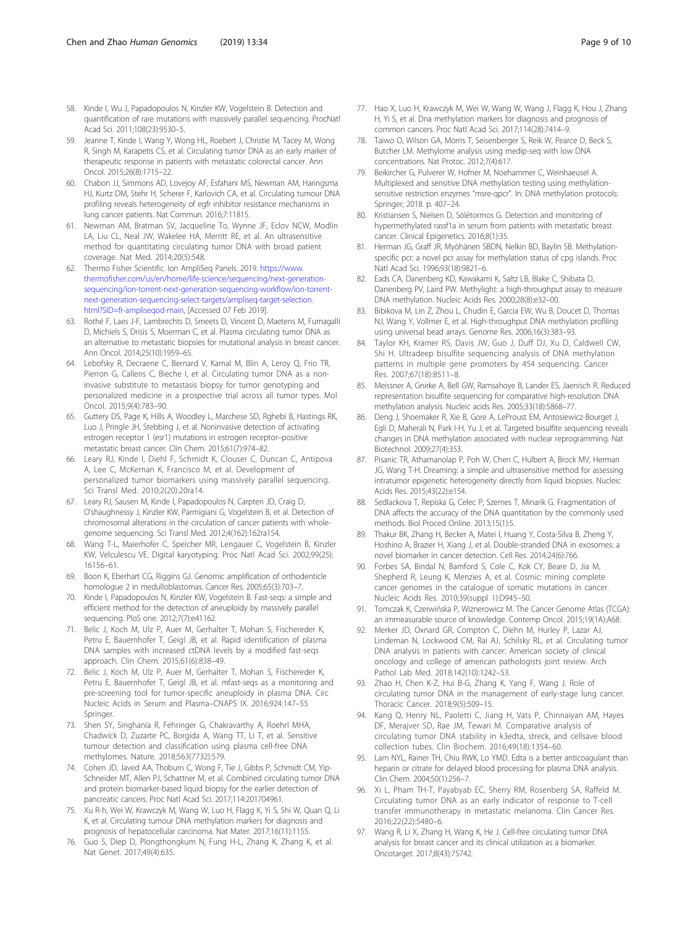- <span id="page-8-0"></span>58. Kinde I, Wu J, Papadopoulos N, Kinzler KW, Vogelstein B. Detection and quantification of rare mutations with massively parallel sequencing. ProcNatl Acad Sci. 2011;108(23):9530–5.
- 59. Jeanne T, Kinde I, Wang Y, Wong HL, Roebert J, Christie M, Tacey M, Wong R, Singh M, Karapetis CS, et al. Circulating tumor DNA as an early marker of therapeutic response in patients with metastatic colorectal cancer. Ann Oncol. 2015;26(8):1715–22.
- 60. Chabon JJ, Simmons AD, Lovejoy AF, Esfahani MS, Newman AM, Haringsma HJ, Kurtz DM, Stehr H, Scherer F, Karlovich CA, et al. Circulating tumour DNA profiling reveals heterogeneity of egfr inhibitor resistance mechanisms in lung cancer patients. Nat Commun. 2016;7:11815.
- 61. Newman AM, Bratman SV, Jacqueline To, Wynne JF, Eclov NCW, Modlin LA, Liu CL, Neal JW, Wakelee HA, Merritt RE, et al. An ultrasensitive method for quantitating circulating tumor DNA with broad patient coverage. Nat Med. 2014;20(5):548.
- 62. Thermo Fisher Scientific. Ion AmpliSeq Panels. 2019. [https://www.](https://www.thermofisher.com/us/en/home/life-science/sequencing/next-generation-sequencing/ion-torrent-nextgeneration-sequencing-workflow/ion-torrent-next-generation-sequencing-select-targets/ampliseq-target-selection.html?SID=fr-ampliseqod-main) [thermofisher.com/us/en/home/life-science/sequencing/next-generation](https://www.thermofisher.com/us/en/home/life-science/sequencing/next-generation-sequencing/ion-torrent-nextgeneration-sequencing-workflow/ion-torrent-next-generation-sequencing-select-targets/ampliseq-target-selection.html?SID=fr-ampliseqod-main)[sequencing/ion-torrent-next-generation-sequencing-workflow/ion-torrent](https://www.thermofisher.com/us/en/home/life-science/sequencing/next-generation-sequencing/ion-torrent-nextgeneration-sequencing-workflow/ion-torrent-next-generation-sequencing-select-targets/ampliseq-target-selection.html?SID=fr-ampliseqod-main)[next-generation-sequencing-select-targets/ampliseq-target-selection.](https://www.thermofisher.com/us/en/home/life-science/sequencing/next-generation-sequencing/ion-torrent-nextgeneration-sequencing-workflow/ion-torrent-next-generation-sequencing-select-targets/ampliseq-target-selection.html?SID=fr-ampliseqod-main) [html?SID=fr-ampliseqod-main,](https://www.thermofisher.com/us/en/home/life-science/sequencing/next-generation-sequencing/ion-torrent-nextgeneration-sequencing-workflow/ion-torrent-next-generation-sequencing-select-targets/ampliseq-target-selection.html?SID=fr-ampliseqod-main) [Accessed 07 Feb 2019].
- 63. Rothé F, Laes J-F, Lambrechts D, Smeets D, Vincent D, Maetens M, Fumagalli D, Michiels S, Drisis S, Moerman C, et al. Plasma circulating tumor DNA as an alternative to metastatic biopsies for mutational analysis in breast cancer. Ann Oncol. 2014;25(10):1959–65.
- 64. Lebofsky R, Decraene C, Bernard V, Kamal M, Blin A, Leroy Q, Frio TR, Pierron G, Callens C, Bieche I, et al. Circulating tumor DNA as a noninvasive substitute to metastasis biopsy for tumor genotyping and personalized medicine in a prospective trial across all tumor types. Mol Oncol. 2015;9(4):783–90.
- 65. Guttery DS, Page K, Hills A, Woodley L, Marchese SD, Rghebi B, Hastings RK, Luo J, Pringle JH, Stebbing J, et al. Noninvasive detection of activating estrogen receptor 1 (esr1) mutations in estrogen receptor–positive metastatic breast cancer. Clin Chem. 2015;61(7):974–82.
- 66. Leary RJ, Kinde I, Diehl F, Schmidt K, Clouser C, Duncan C, Antipova A, Lee C, McKernan K, Francisco M, et al. Development of personalized tumor biomarkers using massively parallel sequencing. Sci Transl Med. 2010;2(20):20ra14.
- 67. Leary RJ, Sausen M, Kinde I, Papadopoulos N, Carpten JD, Craig D, O'shaughnessy J, Kinzler KW, Parmigiani G, Vogelstein B, et al. Detection of chromosomal alterations in the circulation of cancer patients with wholegenome sequencing. Sci Transl Med. 2012;4(162):162ra154.
- 68. Wang T-L, Maierhofer C, Speicher MR, Lengauer C, Vogelstein B, Kinzler KW, Velculescu VE. Digital karyotyping. Proc Natl Acad Sci. 2002;99(25): 16156–61.
- 69. Boon K, Eberhart CG, Riggins GJ. Genomic amplification of orthodenticle homologue 2 in medulloblastomas. Cancer Res. 2005;65(3):703–7.
- 70. Kinde I, Papadopoulos N, Kinzler KW, Vogelstein B. Fast-seqs: a simple and efficient method for the detection of aneuploidy by massively parallel sequencing. PloS one. 2012;7(7):e41162.
- 71. Belic J, Koch M, Ulz P, Auer M, Gerhalter T, Mohan S, Fischereder K, Petru E, Bauernhofer T, Geigl JB, et al. Rapid identification of plasma DNA samples with increased ctDNA levels by a modified fast-seqs approach. Clin Chem. 2015;61(6):838–49.
- 72. Belic J, Koch M, Ulz P, Auer M, Gerhalter T, Mohan S, Fischereder K, Petru E, Bauernhofer T, Geigl JB, et al. mfast-seqs as a monitoring and pre-screening tool for tumor-specific aneuploidy in plasma DNA. Circ Nucleic Acids in Serum and Plasma–CNAPS IX. 2016;924:147–55 Springer.
- 73. Shen SY, Singhania R, Fehringer G, Chakravarthy A, Roehrl MHA, Chadwick D, Zuzarte PC, Borgida A, Wang TT, Li T, et al. Sensitive tumour detection and classification using plasma cell-free DNA methylomes. Nature. 2018;563(7732):579.
- 74. Cohen JD, Javed AA, Thoburn C, Wong F, Tie J, Gibbs P, Schmidt CM, Yip-Schneider MT, Allen PJ, Schattner M, et al. Combined circulating tumor DNA and protein biomarker-based liquid biopsy for the earlier detection of pancreatic cancers. Proc Natl Acad Sci. 2017;114:201704961.
- 75. Xu R-h, Wei W, Krawczyk M, Wang W, Luo H, Flagg K, Yi S, Shi W, Quan Q, Li K, et al. Circulating tumour DNA methylation markers for diagnosis and prognosis of hepatocellular carcinoma. Nat Mater. 2017;16(11):1155.
- 76. Guo S, Diep D, Plongthongkum N, Fung H-L, Zhang K, Zhang K, et al. Nat Genet. 2017;49(4):635.
- 77. Hao X, Luo H, Krawczyk M, Wei W, Wang W, Wang J, Flagg K, Hou J, Zhang H, Yi S, et al. Dna methylation markers for diagnosis and prognosis of common cancers. Proc Natl Acad Sci. 2017;114(28):7414–9.
- 78. Taiwo O, Wilson GA, Morris T, Seisenberger S, Reik W, Pearce D, Beck S, Butcher LM. Methylome analysis using medip-seq with low DNA concentrations. Nat Protoc. 2012;7(4):617.
- 79. Beikircher G, Pulverer W, Hofner M, Noehammer C, Weinhaeusel A. Multiplexed and sensitive DNA methylation testing using methylationsensitive restriction enzymes "msre-qpcr". In: DNA methylation protocols: Springer; 2018. p. 407–24.
- 80. Kristiansen S, Nielsen D, Sölétormos G. Detection and monitoring of hypermethylated rassf1a in serum from patients with metastatic breast cancer. Clinical Epigenetics. 2016;8(1):35.
- 81. Herman JG, Graff JR, Myöhänen SBDN, Nelkin BD, Baylin SB. Methylationspecific pcr: a novel pcr assay for methylation status of cpg islands. Proc Natl Acad Sci. 1996;93(18):9821–6.
- 82. Eads CA, Danenberg KD, Kawakami K, Saltz LB, Blake C, Shibata D, Danenberg PV, Laird PW. Methylight: a high-throughput assay to measure DNA methylation. Nucleic Acids Res. 2000;28(8):e32–00.
- 83. Bibikova M, Lin Z, Zhou L, Chudin E, Garcia EW, Wu B, Doucet D, Thomas NJ, Wang Y, Vollmer E, et al. High-throughput DNA methylation profiling using universal bead arrays. Genome Res. 2006;16(3):383–93.
- 84. Taylor KH, Kramer RS, Davis JW, Guo J, Duff DJ, Xu D, Caldwell CW, Shi H. Ultradeep bisulfite sequencing analysis of DNA methylation patterns in multiple gene promoters by 454 sequencing. Cancer Res. 2007;67(18):8511–8.
- 85. Meissner A, Gnirke A, Bell GW, Ramsahoye B, Lander ES, Jaenisch R. Reduced representation bisulfite sequencing for comparative high-resolution DNA methylation analysis. Nucleic acids Res. 2005;33(18):5868–77.
- 86. Deng J, Shoemaker R, Xie B, Gore A, LeProust EM, Antosiewicz-Bourget J, Egli D, Maherali N, Park I-H, Yu J, et al. Targeted bisulfite sequencing reveals changes in DNA methylation associated with nuclear reprogramming. Nat Biotechnol. 2009;27(4):353.
- 87. Pisanic TR, Athamanolap P, Poh W, Chen C, Hulbert A, Brock MV, Herman JG, Wang T-H. Dreaming: a simple and ultrasensitive method for assessing intratumor epigenetic heterogeneity directly from liquid biopsies. Nucleic Acids Res. 2015;43(22):e154.
- 88. Sedlackova T, Repiska G, Celec P, Szemes T, Minarik G. Fragmentation of DNA affects the accuracy of the DNA quantitation by the commonly used methods. Biol Proced Online. 2013;15(1):5.
- 89. Thakur BK, Zhang H, Becker A, Matei I, Huang Y, Costa-Silva B, Zheng Y, Hoshino A, Brazier H, Xiang J, et al. Double-stranded DNA in exosomes: a novel biomarker in cancer detection. Cell Res. 2014;24(6):766.
- 90. Forbes SA, Bindal N, Bamford S, Cole C, Kok CY, Beare D, Jia M, Shepherd R, Leung K, Menzies A, et al. Cosmic: mining complete cancer genomes in the catalogue of somatic mutations in cancer. Nucleic Acids Res. 2010;39(suppl 1):D945–50.
- 91. Tomczak K, Czerwińska P, Wiznerowicz M. The Cancer Genome Atlas (TCGA): an immeasurable source of knowledge. Contemp Oncol. 2015;19(1A):A68.
- 92. Merker JD, Oxnard GR, Compton C, Diehn M, Hurley P, Lazar AJ, Lindeman N, Lockwood CM, Rai AJ, Schilsky RL, et al. Circulating tumor DNA analysis in patients with cancer: American society of clinical oncology and college of american pathologists joint review. Arch Pathol Lab Med. 2018;142(10):1242–53.
- 93. Zhao H, Chen K-Z, Hui B-G, Zhang K, Yang F, Wang J. Role of circulating tumor DNA in the management of early-stage lung cancer. Thoracic Cancer. 2018;9(5):509–15.
- 94. Kang Q, Henry NL, Paoletti C, Jiang H, Vats P, Chinnaiyan AM, Hayes DF, Merajver SD, Rae JM, Tewari M. Comparative analysis of circulating tumor DNA stability in k3edta, streck, and cellsave blood collection tubes. Clin Biochem. 2016;49(18):1354–60.
- 95. Lam NYL, Rainer TH, Chiu RWK, Lo YMD. Edta is a better anticoagulant than heparin or citrate for delayed blood processing for plasma DNA analysis. Clin Chem. 2004;50(1):256–7.
- 96. Xi L, Pham TH-T, Payabyab EC, Sherry RM, Rosenberg SA, Raffeld M. Circulating tumor DNA as an early indicator of response to T-cell transfer immunotherapy in metastatic melanoma. Clin Cancer Res. 2016;22(22):5480–6.
- 97. Wang R, Li X, Zhang H, Wang K, He J. Cell-free circulating tumor DNA analysis for breast cancer and its clinical utilization as a biomarker. Oncotarget. 2017;8(43):75742.